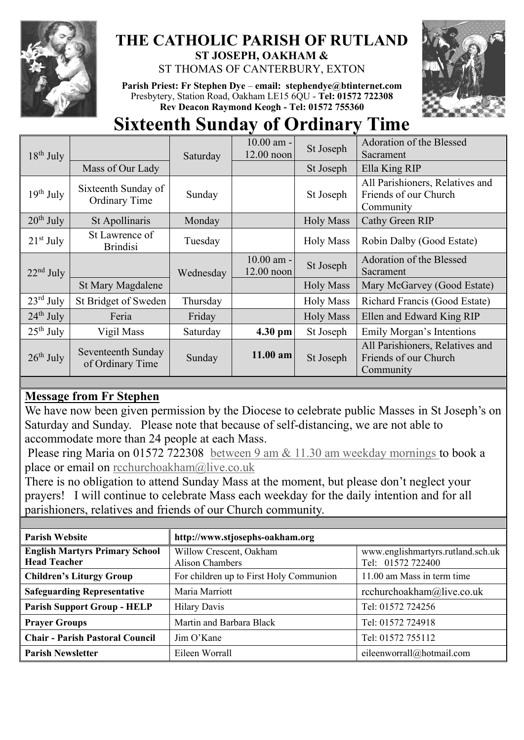

## **THE CATHOLIC PARISH OF RUTLAND ST JOSEPH, OAKHAM &**

ST THOMAS OF CANTERBURY, EXTON

**Parish Priest: Fr Stephen Dye** – **[email: stephendye@btinternet.com](mailto:email:%20%20stephendye@btinternet.com)** Presbytery, Station Road, Oakham LE15 6QU - **Tel: 01572 722308 Rev Deacon Raymond Keogh - Tel: 01572 755360**



# **Sixteenth Sunday of Ordinary Time**

| $18th$ July           |                                      | Saturday  | 10.00 am -   | St Joseph        | Adoration of the Blessed        |
|-----------------------|--------------------------------------|-----------|--------------|------------------|---------------------------------|
|                       |                                      |           | 12.00 noon   |                  | Sacrament                       |
|                       | Mass of Our Lady                     |           |              | St Joseph        | Ella King RIP                   |
| $19th$ July           | Sixteenth Sunday of<br>Ordinary Time | Sunday    |              | St Joseph        | All Parishioners, Relatives and |
|                       |                                      |           |              |                  | Friends of our Church           |
|                       |                                      |           |              |                  | Community                       |
| $20th$ July           | St Apollinaris                       | Monday    |              | <b>Holy Mass</b> | Cathy Green RIP                 |
| $21st$ July           | St Lawrence of                       | Tuesday   |              | <b>Holy Mass</b> | Robin Dalby (Good Estate)       |
|                       | <b>Brindisi</b>                      |           |              |                  |                                 |
| $22nd$ July           |                                      | Wednesday | $10.00$ am - | St Joseph        | Adoration of the Blessed        |
|                       |                                      |           | 12.00 noon   |                  | Sacrament                       |
|                       | St Mary Magdalene                    |           |              | <b>Holy Mass</b> | Mary McGarvey (Good Estate)     |
| $23^{\text{rd}}$ July | St Bridget of Sweden                 | Thursday  |              | <b>Holy Mass</b> | Richard Francis (Good Estate)   |
| $24th$ July           | Feria                                | Friday    |              | <b>Holy Mass</b> | Ellen and Edward King RIP       |
| $25th$ July           | Vigil Mass                           | Saturday  | 4.30 pm      | St Joseph        | Emily Morgan's Intentions       |
| $26^{\text{th}}$ July | Seventeenth Sunday                   | Sunday    | $11.00$ am   | St Joseph        | All Parishioners, Relatives and |
|                       | of Ordinary Time                     |           |              |                  | Friends of our Church           |
|                       |                                      |           |              |                  | Community                       |

## **Message from Fr Stephen**

We have now been given permission by the Diocese to celebrate public Masses in St Joseph's on Saturday and Sunday. Please note that because of self-distancing, we are not able to accommodate more than 24 people at each Mass.

Please ring Maria on 01572 722308 between 9 am & 11.30 am weekday mornings to book a place or email on [rcchurchoakham@live.co.uk](mailto:rcchurchoakham@live.co.uk)

There is no obligation to attend Sunday Mass at the moment, but please don't neglect your prayers! I will continue to celebrate Mass each weekday for the daily intention and for all parishioners, relatives and friends of our Church community.

| <b>Parish Website</b>                                        | http://www.stjosephs-oakham.org            |                                                        |  |
|--------------------------------------------------------------|--------------------------------------------|--------------------------------------------------------|--|
| <b>English Martyrs Primary School</b><br><b>Head Teacher</b> | Willow Crescent, Oakham<br>Alison Chambers | www.englishmartyrs.rutland.sch.uk<br>Tel: 01572 722400 |  |
| <b>Children's Liturgy Group</b>                              | For children up to First Holy Communion    | 11.00 am Mass in term time                             |  |
| <b>Safeguarding Representative</b>                           | Maria Marriott                             | rcchurchoakham@live.co.uk                              |  |
| <b>Parish Support Group - HELP</b>                           | <b>Hilary Davis</b>                        | Tel: 01572 724256                                      |  |
| <b>Prayer Groups</b>                                         | Martin and Barbara Black                   | Tel: 01572 724918                                      |  |
| <b>Chair - Parish Pastoral Council</b>                       | Jim O'Kane                                 | Tel: 01572 755112                                      |  |
| <b>Parish Newsletter</b>                                     | Eileen Worrall                             | eileenworrall@hotmail.com                              |  |